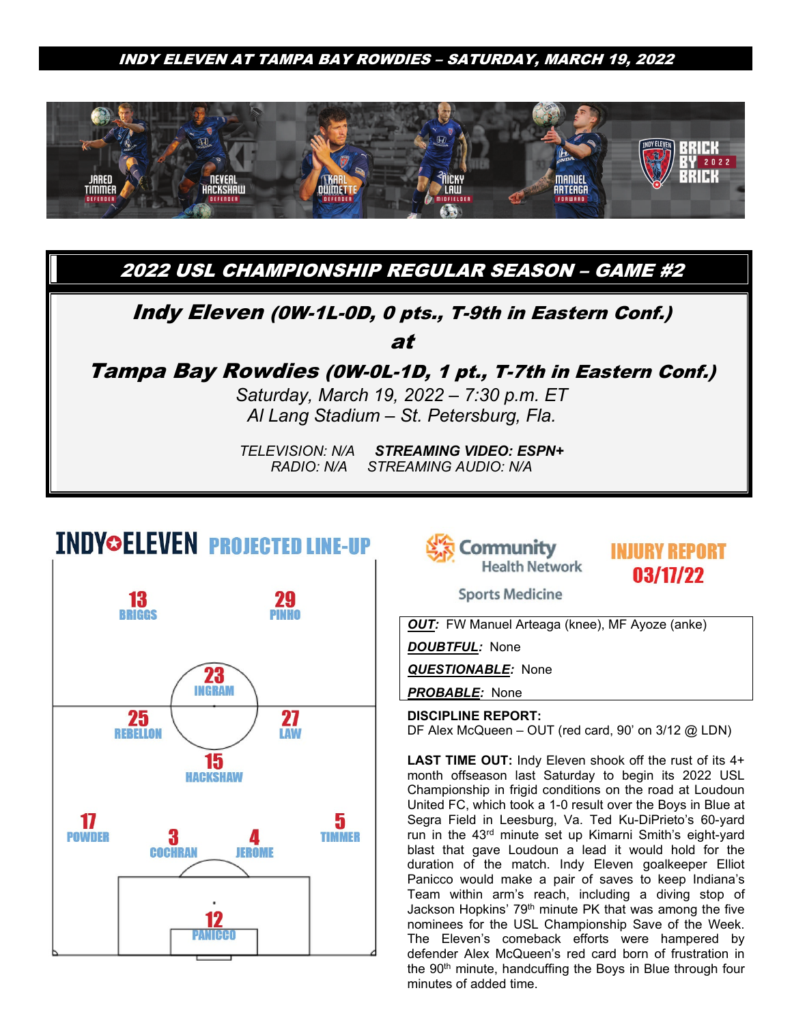

2022 USL CHAMPIONSHIP REGULAR SEASON – GAME #2

### Indy Eleven (0W-1L-0D, 0 pts., T-9th in Eastern Conf.)

at

Tampa Bay Rowdies (0W-0L-1D, 1 pt., T-7th in Eastern Conf.)

*Saturday, March 19, 2022 – 7:30 p.m. ET Al Lang Stadium – St. Petersburg, Fla.*

*TELEVISION: N/A STREAMING VIDEO: ESPN+ RADIO: N/A STREAMING AUDIO: N/A*

# **INDY©ELEVEN PROJECTED LINE-UP**





**INJURY REPORT** 03/17/22

**Sports Medicine** 

*OUT:* FW Manuel Arteaga (knee), MF Ayoze (anke)

*DOUBTFUL:* None

*QUESTIONABLE:* None

*PROBABLE:* None

**DISCIPLINE REPORT:** DF Alex McQueen – OUT (red card, 90' on 3/12 @ LDN)

**LAST TIME OUT:** Indy Eleven shook off the rust of its 4+ month offseason last Saturday to begin its 2022 USL Championship in frigid conditions on the road at Loudoun United FC, which took a 1-0 result over the Boys in Blue at Segra Field in Leesburg, Va. Ted Ku-DiPrieto's 60-yard run in the 43rd minute set up Kimarni Smith's eight-yard blast that gave Loudoun a lead it would hold for the duration of the match. Indy Eleven goalkeeper Elliot Panicco would make a pair of saves to keep Indiana's Team within arm's reach, including a diving stop of Jackson Hopkins' 79th minute PK that was among the five nominees for the USL Championship Save of the Week. The Eleven's comeback efforts were hampered by defender Alex McQueen's red card born of frustration in the 90<sup>th</sup> minute, handcuffing the Boys in Blue through four minutes of added time.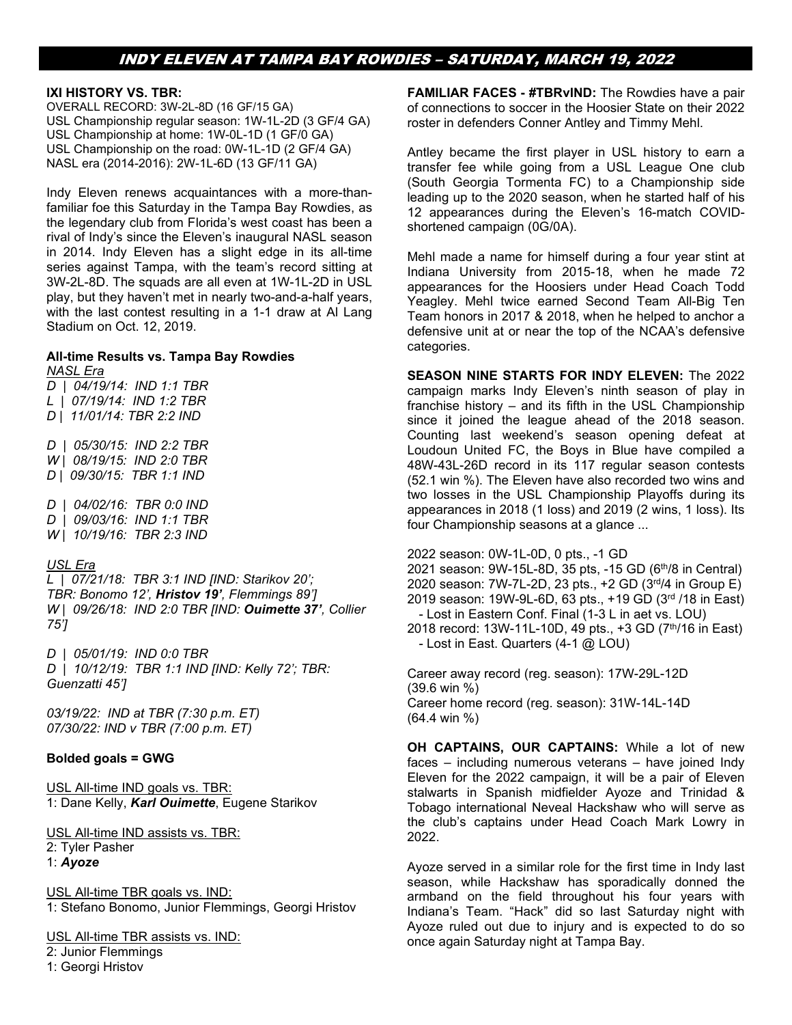#### **IXI HISTORY VS. TBR:**

OVERALL RECORD: 3W-2L-8D (16 GF/15 GA) USL Championship regular season: 1W-1L-2D (3 GF/4 GA) USL Championship at home: 1W-0L-1D (1 GF/0 GA) USL Championship on the road: 0W-1L-1D (2 GF/4 GA) NASL era (2014-2016): 2W-1L-6D (13 GF/11 GA)

Indy Eleven renews acquaintances with a more-thanfamiliar foe this Saturday in the Tampa Bay Rowdies, as the legendary club from Florida's west coast has been a rival of Indy's since the Eleven's inaugural NASL season in 2014. Indy Eleven has a slight edge in its all-time series against Tampa, with the team's record sitting at 3W-2L-8D. The squads are all even at 1W-1L-2D in USL play, but they haven't met in nearly two-and-a-half years, with the last contest resulting in a 1-1 draw at Al Lang Stadium on Oct. 12, 2019.

## **All-time Results vs. Tampa Bay Rowdies**

*NASL Era D | 04/19/14: IND 1:1 TBR L | 07/19/14: IND 1:2 TBR D | 11/01/14: TBR 2:2 IND D | 05/30/15: IND 2:2 TBR*

*W | 08/19/15: IND 2:0 TBR D | 09/30/15: TBR 1:1 IND*

*D | 04/02/16: TBR 0:0 IND D | 09/03/16: IND 1:1 TBR W | 10/19/16: TBR 2:3 IND* 

#### *USL Era*

*L | 07/21/18: TBR 3:1 IND [IND: Starikov 20'; TBR: Bonomo 12', Hristov 19', Flemmings 89'] W | 09/26/18: IND 2:0 TBR [IND: Ouimette 37', Collier 75']*

*D | 05/01/19: IND 0:0 TBR D | 10/12/19: TBR 1:1 IND [IND: Kelly 72'; TBR: Guenzatti 45']* 

*03/19/22: IND at TBR (7:30 p.m. ET) 07/30/22: IND v TBR (7:00 p.m. ET)*

#### **Bolded goals = GWG**

USL All-time IND goals vs. TBR: 1: Dane Kelly, *Karl Ouimette*, Eugene Starikov

USL All-time IND assists vs. TBR: 2: Tyler Pasher 1: *Ayoze*

USL All-time TBR goals vs. IND: 1: Stefano Bonomo, Junior Flemmings, Georgi Hristov

USL All-time TBR assists vs. IND:

2: Junior Flemmings 1: Georgi Hristov

**FAMILIAR FACES - #TBRvIND:** The Rowdies have a pair of connections to soccer in the Hoosier State on their 2022 roster in defenders Conner Antley and Timmy Mehl.

Antley became the first player in USL history to earn a transfer fee while going from a USL League One club (South Georgia Tormenta FC) to a Championship side leading up to the 2020 season, when he started half of his 12 appearances during the Eleven's 16-match COVIDshortened campaign (0G/0A).

Mehl made a name for himself during a four year stint at Indiana University from 2015-18, when he made 72 appearances for the Hoosiers under Head Coach Todd Yeagley. Mehl twice earned Second Team All-Big Ten Team honors in 2017 & 2018, when he helped to anchor a defensive unit at or near the top of the NCAA's defensive categories.

**SEASON NINE STARTS FOR INDY ELEVEN:** The 2022 campaign marks Indy Eleven's ninth season of play in franchise history – and its fifth in the USL Championship since it joined the league ahead of the 2018 season. Counting last weekend's season opening defeat at Loudoun United FC, the Boys in Blue have compiled a 48W-43L-26D record in its 117 regular season contests (52.1 win %). The Eleven have also recorded two wins and two losses in the USL Championship Playoffs during its appearances in 2018 (1 loss) and 2019 (2 wins, 1 loss). Its four Championship seasons at a glance ...

2022 season: 0W-1L-0D, 0 pts., -1 GD 2021 season: 9W-15L-8D, 35 pts, -15 GD (6th/8 in Central) 2020 season: 7W-7L-2D, 23 pts., +2 GD (3rd/4 in Group E) 2019 season: 19W-9L-6D, 63 pts., +19 GD (3rd /18 in East) - Lost in Eastern Conf. Final (1-3 L in aet vs. LOU) 2018 record: 13W-11L-10D, 49 pts., +3 GD (7th/16 in East) - Lost in East. Quarters (4-1 @ LOU)

Career away record (reg. season): 17W-29L-12D (39.6 win %) Career home record (reg. season): 31W-14L-14D (64.4 win %)

**OH CAPTAINS, OUR CAPTAINS:** While a lot of new faces – including numerous veterans – have joined Indy Eleven for the 2022 campaign, it will be a pair of Eleven stalwarts in Spanish midfielder Ayoze and Trinidad & Tobago international Neveal Hackshaw who will serve as the club's captains under Head Coach Mark Lowry in 2022.

Ayoze served in a similar role for the first time in Indy last season, while Hackshaw has sporadically donned the armband on the field throughout his four years with Indiana's Team. "Hack" did so last Saturday night with Ayoze ruled out due to injury and is expected to do so once again Saturday night at Tampa Bay.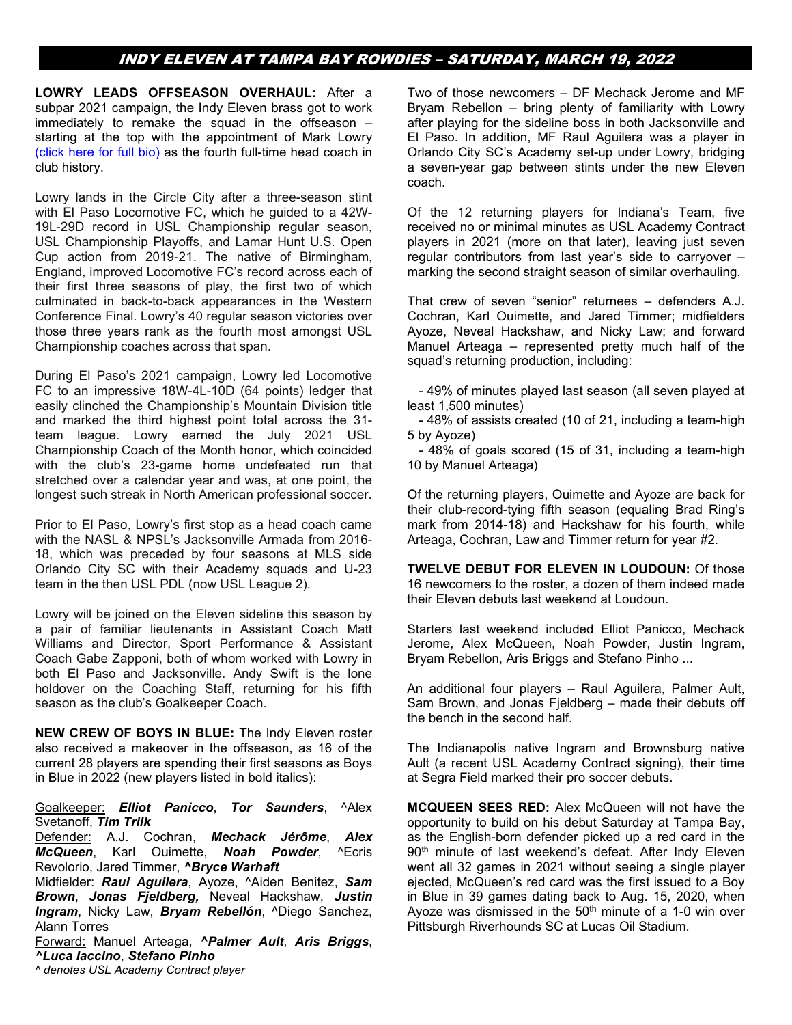**LOWRY LEADS OFFSEASON OVERHAUL:** After a subpar 2021 campaign, the Indy Eleven brass got to work immediately to remake the squad in the offseason – starting at the top with the appointment of Mark Lowry [\(click here for full bio\)](https://www.indyeleven.com/mark-lowry/) as the fourth full-time head coach in club history.

Lowry lands in the Circle City after a three-season stint with El Paso Locomotive FC, which he guided to a 42W-19L-29D record in USL Championship regular season, USL Championship Playoffs, and Lamar Hunt U.S. Open Cup action from 2019-21. The native of Birmingham, England, improved Locomotive FC's record across each of their first three seasons of play, the first two of which culminated in back-to-back appearances in the Western Conference Final. Lowry's 40 regular season victories over those three years rank as the fourth most amongst USL Championship coaches across that span.

During El Paso's 2021 campaign, Lowry led Locomotive FC to an impressive 18W-4L-10D (64 points) ledger that easily clinched the Championship's Mountain Division title and marked the third highest point total across the 31 team league. Lowry earned the July 2021 USL Championship Coach of the Month honor, which coincided with the club's 23-game home undefeated run that stretched over a calendar year and was, at one point, the longest such streak in North American professional soccer.

Prior to El Paso, Lowry's first stop as a head coach came with the NASL & NPSL's Jacksonville Armada from 2016- 18, which was preceded by four seasons at MLS side Orlando City SC with their Academy squads and U-23 team in the then USL PDL (now USL League 2).

Lowry will be joined on the Eleven sideline this season by a pair of familiar lieutenants in Assistant Coach Matt Williams and Director, Sport Performance & Assistant Coach Gabe Zapponi, both of whom worked with Lowry in both El Paso and Jacksonville. Andy Swift is the lone holdover on the Coaching Staff, returning for his fifth season as the club's Goalkeeper Coach.

**NEW CREW OF BOYS IN BLUE:** The Indy Eleven roster also received a makeover in the offseason, as 16 of the current 28 players are spending their first seasons as Boys in Blue in 2022 (new players listed in bold italics):

#### Goalkeeper: *Elliot Panicco*, *Tor Saunders*, ^Alex Svetanoff, *Tim Trilk*

Defender: A.J. Cochran, *Mechack Jérôme*, *Alex McQueen*, Karl Ouimette, *Noah Powder*, ^Ecris Revolorio, Jared Timmer, *^Bryce Warhaft*

Midfielder: *Raul Aguilera*, Ayoze, ^Aiden Benitez, *Sam Brown*, *Jonas Fjeldberg,* Neveal Hackshaw, *Justin Ingram*, Nicky Law, *Bryam Rebellón*, ^Diego Sanchez, Alann Torres

Forward: Manuel Arteaga, *^Palmer Ault*, *Aris Briggs*, *^Luca Iaccino*, *Stefano Pinho*

*^ denotes USL Academy Contract player*

Two of those newcomers – DF Mechack Jerome and MF Bryam Rebellon – bring plenty of familiarity with Lowry after playing for the sideline boss in both Jacksonville and El Paso. In addition, MF Raul Aguilera was a player in Orlando City SC's Academy set-up under Lowry, bridging a seven-year gap between stints under the new Eleven coach.

Of the 12 returning players for Indiana's Team, five received no or minimal minutes as USL Academy Contract players in 2021 (more on that later), leaving just seven regular contributors from last year's side to carryover – marking the second straight season of similar overhauling.

That crew of seven "senior" returnees – defenders A.J. Cochran, Karl Ouimette, and Jared Timmer; midfielders Ayoze, Neveal Hackshaw, and Nicky Law; and forward Manuel Arteaga – represented pretty much half of the squad's returning production, including:

- 49% of minutes played last season (all seven played at least 1,500 minutes)

- 48% of assists created (10 of 21, including a team-high 5 by Ayoze)

- 48% of goals scored (15 of 31, including a team-high 10 by Manuel Arteaga)

Of the returning players, Ouimette and Ayoze are back for their club-record-tying fifth season (equaling Brad Ring's mark from 2014-18) and Hackshaw for his fourth, while Arteaga, Cochran, Law and Timmer return for year #2.

**TWELVE DEBUT FOR ELEVEN IN LOUDOUN:** Of those 16 newcomers to the roster, a dozen of them indeed made their Eleven debuts last weekend at Loudoun.

Starters last weekend included Elliot Panicco, Mechack Jerome, Alex McQueen, Noah Powder, Justin Ingram, Bryam Rebellon, Aris Briggs and Stefano Pinho ...

An additional four players – Raul Aguilera, Palmer Ault, Sam Brown, and Jonas Fjeldberg – made their debuts off the bench in the second half.

The Indianapolis native Ingram and Brownsburg native Ault (a recent USL Academy Contract signing), their time at Segra Field marked their pro soccer debuts.

**MCQUEEN SEES RED:** Alex McQueen will not have the opportunity to build on his debut Saturday at Tampa Bay, as the English-born defender picked up a red card in the 90<sup>th</sup> minute of last weekend's defeat. After Indy Eleven went all 32 games in 2021 without seeing a single player ejected, McQueen's red card was the first issued to a Boy in Blue in 39 games dating back to Aug. 15, 2020, when Ayoze was dismissed in the  $50<sup>th</sup>$  minute of a 1-0 win over Pittsburgh Riverhounds SC at Lucas Oil Stadium.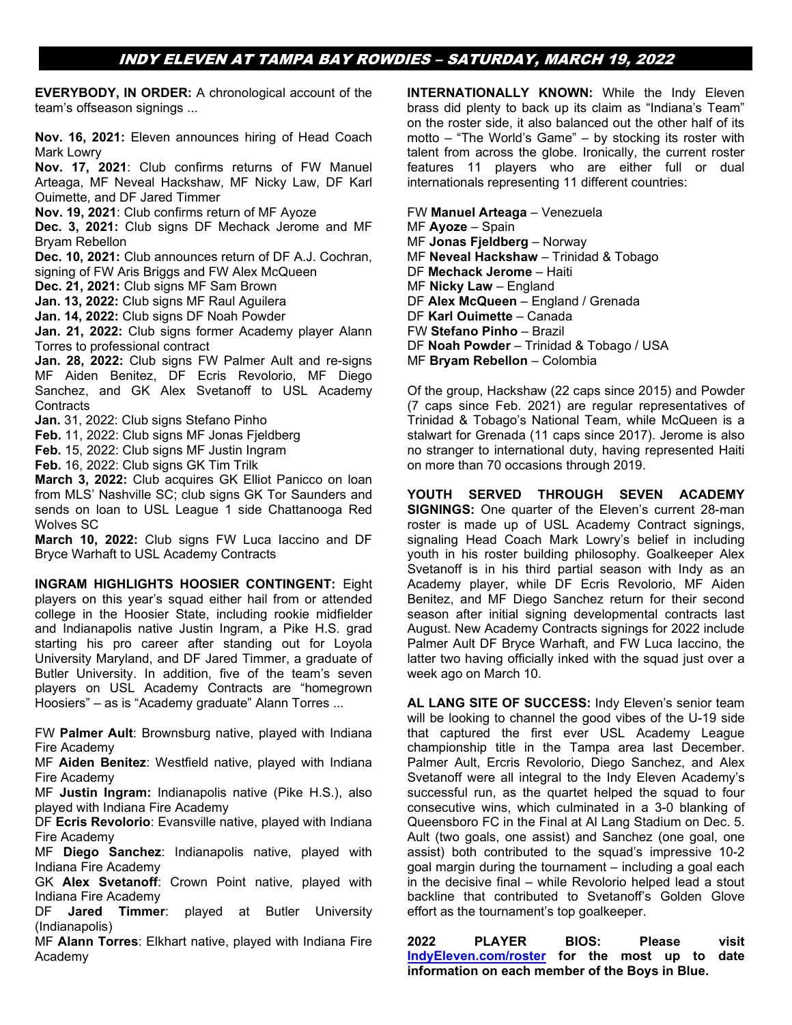**EVERYBODY, IN ORDER:** A chronological account of the team's offseason signings ...

**Nov. 16, 2021:** Eleven announces hiring of Head Coach Mark Lowry

**Nov. 17, 2021**: Club confirms returns of FW Manuel Arteaga, MF Neveal Hackshaw, MF Nicky Law, DF Karl Ouimette, and DF Jared Timmer

**Nov. 19, 2021**: Club confirms return of MF Ayoze

**Dec. 3, 2021:** Club signs DF Mechack Jerome and MF Bryam Rebellon

**Dec. 10, 2021:** Club announces return of DF A.J. Cochran, signing of FW Aris Briggs and FW Alex McQueen

**Dec. 21, 2021:** Club signs MF Sam Brown

**Jan. 13, 2022:** Club signs MF Raul Aguilera

**Jan. 14, 2022:** Club signs DF Noah Powder

**Jan. 21, 2022:** Club signs former Academy player Alann Torres to professional contract

**Jan. 28, 2022:** Club signs FW Palmer Ault and re-signs MF Aiden Benitez, DF Ecris Revolorio, MF Diego Sanchez, and GK Alex Svetanoff to USL Academy **Contracts** 

**Jan.** 31, 2022: Club signs Stefano Pinho

**Feb.** 11, 2022: Club signs MF Jonas Fjeldberg

**Feb.** 15, 2022: Club signs MF Justin Ingram

**Feb.** 16, 2022: Club signs GK Tim Trilk

**March 3, 2022:** Club acquires GK Elliot Panicco on loan from MLS' Nashville SC; club signs GK Tor Saunders and sends on loan to USL League 1 side Chattanooga Red Wolves SC

**March 10, 2022:** Club signs FW Luca Iaccino and DF Bryce Warhaft to USL Academy Contracts

**INGRAM HIGHLIGHTS HOOSIER CONTINGENT:** Eight players on this year's squad either hail from or attended college in the Hoosier State, including rookie midfielder and Indianapolis native Justin Ingram, a Pike H.S. grad starting his pro career after standing out for Loyola University Maryland, and DF Jared Timmer, a graduate of Butler University. In addition, five of the team's seven players on USL Academy Contracts are "homegrown Hoosiers" – as is "Academy graduate" Alann Torres ...

FW **Palmer Ault**: Brownsburg native, played with Indiana Fire Academy

MF **Aiden Benitez**: Westfield native, played with Indiana Fire Academy

MF **Justin Ingram:** Indianapolis native (Pike H.S.), also played with Indiana Fire Academy

DF **Ecris Revolorio**: Evansville native, played with Indiana Fire Academy

MF **Diego Sanchez**: Indianapolis native, played with Indiana Fire Academy

GK **Alex Svetanoff**: Crown Point native, played with Indiana Fire Academy

DF **Jared Timmer**: played at Butler University (Indianapolis)

MF **Alann Torres**: Elkhart native, played with Indiana Fire Academy

**INTERNATIONALLY KNOWN:** While the Indy Eleven brass did plenty to back up its claim as "Indiana's Team" on the roster side, it also balanced out the other half of its motto – "The World's Game" – by stocking its roster with talent from across the globe. Ironically, the current roster features 11 players who are either full or dual internationals representing 11 different countries:

FW **Manuel Arteaga** – Venezuela

MF **Ayoze** – Spain

MF **Jonas Fjeldberg** – Norway

MF **Neveal Hackshaw** – Trinidad & Tobago

- DF **Mechack Jerome** Haiti
- MF **Nicky Law** England

DF **Alex McQueen** – England / Grenada

DF **Karl Ouimette** – Canada

FW **Stefano Pinho** – Brazil

DF **Noah Powder** – Trinidad & Tobago / USA

MF **Bryam Rebellon** – Colombia

Of the group, Hackshaw (22 caps since 2015) and Powder (7 caps since Feb. 2021) are regular representatives of Trinidad & Tobago's National Team, while McQueen is a stalwart for Grenada (11 caps since 2017). Jerome is also no stranger to international duty, having represented Haiti on more than 70 occasions through 2019.

**YOUTH SERVED THROUGH SEVEN ACADEMY SIGNINGS:** One quarter of the Eleven's current 28-man roster is made up of USL Academy Contract signings, signaling Head Coach Mark Lowry's belief in including youth in his roster building philosophy. Goalkeeper Alex Svetanoff is in his third partial season with Indy as an Academy player, while DF Ecris Revolorio, MF Aiden Benitez, and MF Diego Sanchez return for their second season after initial signing developmental contracts last August. New Academy Contracts signings for 2022 include Palmer Ault DF Bryce Warhaft, and FW Luca Iaccino, the latter two having officially inked with the squad just over a week ago on March 10.

**AL LANG SITE OF SUCCESS:** Indy Eleven's senior team will be looking to channel the good vibes of the U-19 side that captured the first ever USL Academy League championship title in the Tampa area last December. Palmer Ault, Ercris Revolorio, Diego Sanchez, and Alex Svetanoff were all integral to the Indy Eleven Academy's successful run, as the quartet helped the squad to four consecutive wins, which culminated in a 3-0 blanking of Queensboro FC in the Final at Al Lang Stadium on Dec. 5. Ault (two goals, one assist) and Sanchez (one goal, one assist) both contributed to the squad's impressive 10-2 goal margin during the tournament – including a goal each in the decisive final – while Revolorio helped lead a stout backline that contributed to Svetanoff's Golden Glove effort as the tournament's top goalkeeper.

**2022 PLAYER BIOS: Please visit [IndyEleven.com/roster](https://www.indyeleven.com/roster/) for the most up to date information on each member of the Boys in Blue.**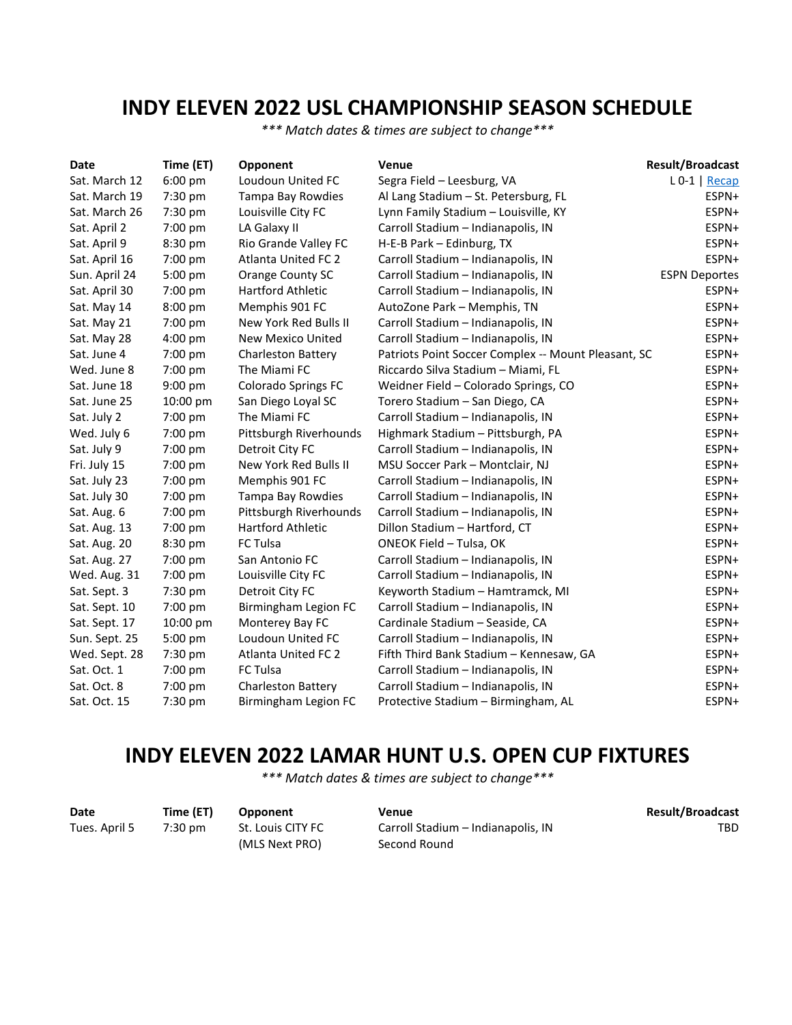# **INDY ELEVEN 2022 USL CHAMPIONSHIP SEASON SCHEDULE**

*\*\*\* Match dates & times are subject to change\*\*\**

| Date          | Time (ET) | Opponent                   | Venue                                               | <b>Result/Broadcast</b> |
|---------------|-----------|----------------------------|-----------------------------------------------------|-------------------------|
| Sat. March 12 | 6:00 pm   | Loudoun United FC          | Segra Field - Leesburg, VA                          | $L 0-1  $ Recap         |
| Sat. March 19 | 7:30 pm   | Tampa Bay Rowdies          | Al Lang Stadium - St. Petersburg, FL                | ESPN+                   |
| Sat. March 26 | 7:30 pm   | Louisville City FC         | Lynn Family Stadium - Louisville, KY                | ESPN+                   |
| Sat. April 2  | 7:00 pm   | LA Galaxy II               | Carroll Stadium - Indianapolis, IN                  | ESPN+                   |
| Sat. April 9  | 8:30 pm   | Rio Grande Valley FC       | H-E-B Park - Edinburg, TX                           | ESPN+                   |
| Sat. April 16 | 7:00 pm   | <b>Atlanta United FC 2</b> | Carroll Stadium - Indianapolis, IN                  | ESPN+                   |
| Sun. April 24 | 5:00 pm   | Orange County SC           | Carroll Stadium - Indianapolis, IN                  | <b>ESPN Deportes</b>    |
| Sat. April 30 | 7:00 pm   | <b>Hartford Athletic</b>   | Carroll Stadium - Indianapolis, IN                  | ESPN+                   |
| Sat. May 14   | 8:00 pm   | Memphis 901 FC             | AutoZone Park - Memphis, TN                         | ESPN+                   |
| Sat. May 21   | 7:00 pm   | New York Red Bulls II      | Carroll Stadium - Indianapolis, IN                  | ESPN+                   |
| Sat. May 28   | $4:00$ pm | New Mexico United          | Carroll Stadium - Indianapolis, IN                  | ESPN+                   |
| Sat. June 4   | 7:00 pm   | <b>Charleston Battery</b>  | Patriots Point Soccer Complex -- Mount Pleasant, SC | ESPN+                   |
| Wed. June 8   | 7:00 pm   | The Miami FC               | Riccardo Silva Stadium - Miami, FL                  | ESPN+                   |
| Sat. June 18  | 9:00 pm   | <b>Colorado Springs FC</b> | Weidner Field - Colorado Springs, CO                | ESPN+                   |
| Sat. June 25  | 10:00 pm  | San Diego Loyal SC         | Torero Stadium - San Diego, CA                      | ESPN+                   |
| Sat. July 2   | 7:00 pm   | The Miami FC               | Carroll Stadium - Indianapolis, IN                  | ESPN+                   |
| Wed. July 6   | 7:00 pm   | Pittsburgh Riverhounds     | Highmark Stadium - Pittsburgh, PA                   | ESPN+                   |
| Sat. July 9   | 7:00 pm   | Detroit City FC            | Carroll Stadium - Indianapolis, IN                  | ESPN+                   |
| Fri. July 15  | 7:00 pm   | New York Red Bulls II      | MSU Soccer Park - Montclair, NJ                     | ESPN+                   |
| Sat. July 23  | 7:00 pm   | Memphis 901 FC             | Carroll Stadium - Indianapolis, IN                  | ESPN+                   |
| Sat. July 30  | 7:00 pm   | Tampa Bay Rowdies          | Carroll Stadium - Indianapolis, IN                  | ESPN+                   |
| Sat. Aug. 6   | 7:00 pm   | Pittsburgh Riverhounds     | Carroll Stadium - Indianapolis, IN                  | ESPN+                   |
| Sat. Aug. 13  | 7:00 pm   | Hartford Athletic          | Dillon Stadium - Hartford, CT                       | ESPN+                   |
| Sat. Aug. 20  | 8:30 pm   | <b>FC Tulsa</b>            | ONEOK Field - Tulsa, OK                             | ESPN+                   |
| Sat. Aug. 27  | 7:00 pm   | San Antonio FC             | Carroll Stadium - Indianapolis, IN                  | ESPN+                   |
| Wed. Aug. 31  | 7:00 pm   | Louisville City FC         | Carroll Stadium - Indianapolis, IN                  | ESPN+                   |
| Sat. Sept. 3  | 7:30 pm   | Detroit City FC            | Keyworth Stadium - Hamtramck, MI                    | ESPN+                   |
| Sat. Sept. 10 | 7:00 pm   | Birmingham Legion FC       | Carroll Stadium - Indianapolis, IN                  | ESPN+                   |
| Sat. Sept. 17 | 10:00 pm  | Monterey Bay FC            | Cardinale Stadium - Seaside, CA                     | ESPN+                   |
| Sun. Sept. 25 | 5:00 pm   | Loudoun United FC          | Carroll Stadium - Indianapolis, IN                  | ESPN+                   |
| Wed. Sept. 28 | 7:30 pm   | <b>Atlanta United FC 2</b> | Fifth Third Bank Stadium - Kennesaw, GA             | ESPN+                   |
| Sat. Oct. 1   | 7:00 pm   | <b>FC Tulsa</b>            | Carroll Stadium - Indianapolis, IN                  | ESPN+                   |
| Sat. Oct. 8   | 7:00 pm   | <b>Charleston Battery</b>  | Carroll Stadium - Indianapolis, IN                  | ESPN+                   |
| Sat. Oct. 15  | 7:30 pm   | Birmingham Legion FC       | Protective Stadium - Birmingham, AL                 | ESPN+                   |

# **INDY ELEVEN 2022 LAMAR HUNT U.S. OPEN CUP FIXTURES**

*\*\*\* Match dates & times are subject to change\*\*\**

| Date          | Time (ET) | <b>Opponent</b>   | Venue                              | <b>Result/Broadcast</b> |
|---------------|-----------|-------------------|------------------------------------|-------------------------|
| Tues. April 5 | 7:30 pm   | St. Louis CITY FC | Carroll Stadium - Indianapolis, IN | <b>TBD</b>              |
|               |           | (MLS Next PRO)    | Second Round                       |                         |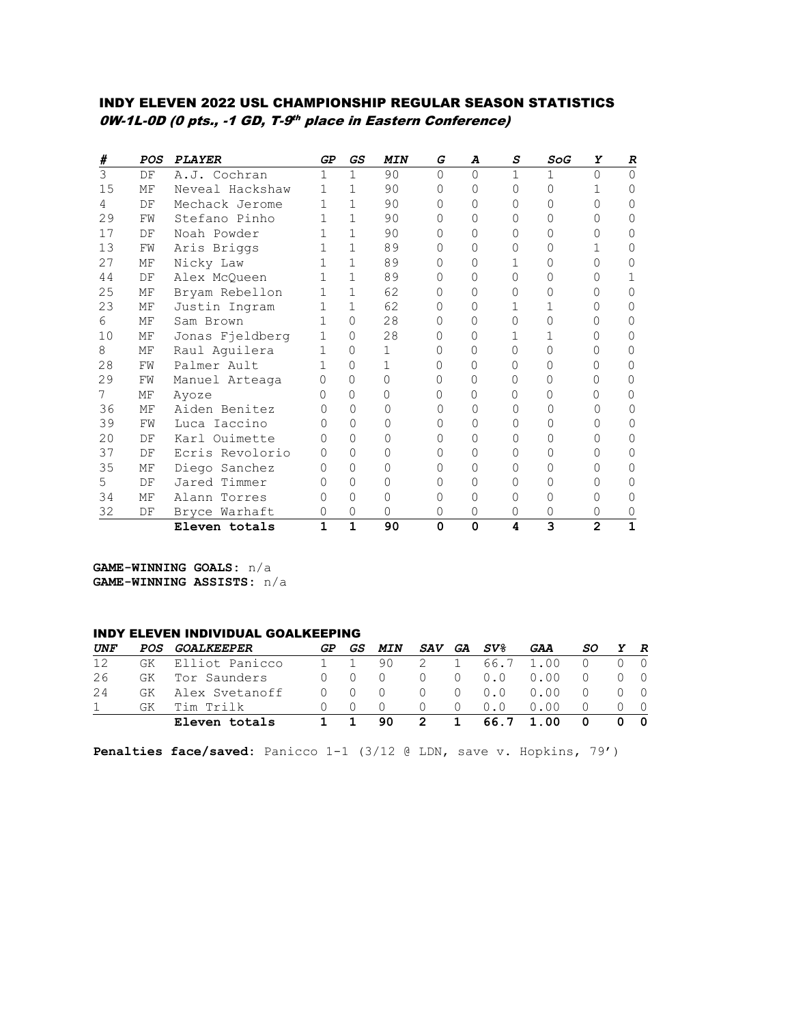### INDY ELEVEN 2022 USL CHAMPIONSHIP REGULAR SEASON STATISTICS 0W-1L-0D (0 pts., -1 GD, T-9th place in Eastern Conference)

| #  | POS | <b>PLAYER</b>   | GP               | GS           | <b>MIN</b> | G        | A        | S | SoG | Y              | R      |
|----|-----|-----------------|------------------|--------------|------------|----------|----------|---|-----|----------------|--------|
| 3  | DF  | A.J. Cochran    | 1                | 1            | 90         | $\Omega$ | $\Omega$ | 1 | 1   | $\cap$         | $\cap$ |
| 15 | МF  | Neveal Hackshaw |                  | $\mathbf{1}$ | 90         | $\Omega$ | O        | 0 | O   |                |        |
| 4  | DF  | Mechack Jerome  |                  | $\mathbf{1}$ | 90         | 0        | Λ        | U | Ω   | ∩              |        |
| 29 | FW  | Stefano Pinho   |                  | 1            | 90         | $\Omega$ |          | 0 |     |                |        |
| 17 | DF  | Noah Powder     |                  | $\mathbf{1}$ | 90         | 0        | Λ        | 0 | 0   |                |        |
| 13 | FW  | Aris Briggs     | 1                | $\mathbf{1}$ | 89         | Ω        | Ω        | Ω | Ω   |                |        |
| 27 | МF  | Nicky Law       | 1                | $\mathbf{1}$ | 89         | 0        | 0        |   | 0   |                |        |
| 44 | DF  | Alex McQueen    | 1.               | $\mathbf{1}$ | 89         | 0        | Λ        | O | Λ   |                |        |
| 25 | МF  | Bryam Rebellon  |                  | $\mathbf{1}$ | 62         | 0        | Ω        | U | U   |                |        |
| 23 | МF  | Justin Ingram   |                  | 1            | 62         |          |          |   |     |                |        |
| 6  | МF  | Sam Brown       |                  | $\Omega$     | 28         | 0        |          | 0 | U   |                |        |
| 10 | МF  | Jonas Fjeldberg | 1                | $\Omega$     | 28         |          | 0        |   |     |                |        |
| 8  | МF  | Raul Aguilera   | 1                | 0            | 1.         | Ω        | Ω        | Ω | Ω   |                |        |
| 28 | FW  | Palmer Ault     | 1                | $\Omega$     |            | 0        | 0        | Ω | Ω   |                |        |
| 29 | FW  | Manuel Arteaga  | 0                | $\Omega$     | 0          | 0        | 0        | 0 | Ω   |                |        |
| 7  | ΜF  | Ayoze           | $\left( \right)$ | $\Omega$     | Λ          | Ω        | ∩        | U | U   |                |        |
| 36 | МF  | Aiden Benitez   |                  | $\Omega$     |            |          |          | Ω |     |                |        |
| 39 | FW  | Luca Iaccino    |                  | $\Omega$     |            | Ω        |          | 0 | Ω   |                |        |
| 20 | DF  | Karl Ouimette   |                  | $\Omega$     |            |          |          | U | Ω   |                |        |
| 37 | DF  | Ecris Revolorio |                  | $\Omega$     |            | 0        |          | 0 | Ω   |                |        |
| 35 | МF  | Diego Sanchez   |                  | $\Omega$     |            |          |          |   | Ω   |                |        |
| 5  | DF  | Jared Timmer    |                  | 0            |            |          |          |   | Ω   |                |        |
| 34 | МF  | Alann Torres    |                  | $\Omega$     | Ω          | Λ        | 0        | Ω | 0   |                |        |
| 32 | DF  | Bryce Warhaft   |                  | 0            | 0          | 0        | 0        | 0 | 0   |                |        |
|    |     | Eleven totals   | 1                | $\mathbf{1}$ | 90         | $\Omega$ | 0        | 4 | 3   | $\overline{2}$ | 1      |

**GAME-WINNING GOALS:** n/a **GAME-WINNING ASSISTS:** n/a

#### INDY ELEVEN INDIVIDUAL GOALKEEPING

| UNF |     | POS GOALKEEPER  | GP. | GS . | MIN |    |              | SAV GA SV%         | GAA       | SO.              | Y R        |
|-----|-----|-----------------|-----|------|-----|----|--------------|--------------------|-----------|------------------|------------|
| 12  | GK  | Elliot Panicco  |     |      | 90. |    | $\mathbf{1}$ |                    | 66.7 1.00 |                  |            |
| 26  |     | GK Tor Saunders |     |      |     |    | ()           | $0.0 \quad 0.00$   |           | $\left( \right)$ | $\Omega$   |
| 24  | GK  | Alex Svetanoff  |     |      |     |    |              | $0 \t 0.0 \t 0.00$ |           | $\left( \right)$ | $\bigcirc$ |
|     | GK. | Tim Trilk       |     |      |     |    |              | $0 \quad 0.0$      | 0.00      |                  | - 0        |
|     |     | Eleven totals   |     |      | 90. | -2 | $\mathbf{1}$ |                    | 66.7 1.00 | 0                | - 0        |

**Penalties face/saved:** Panicco 1-1 (3/12 @ LDN, save v. Hopkins, 79')